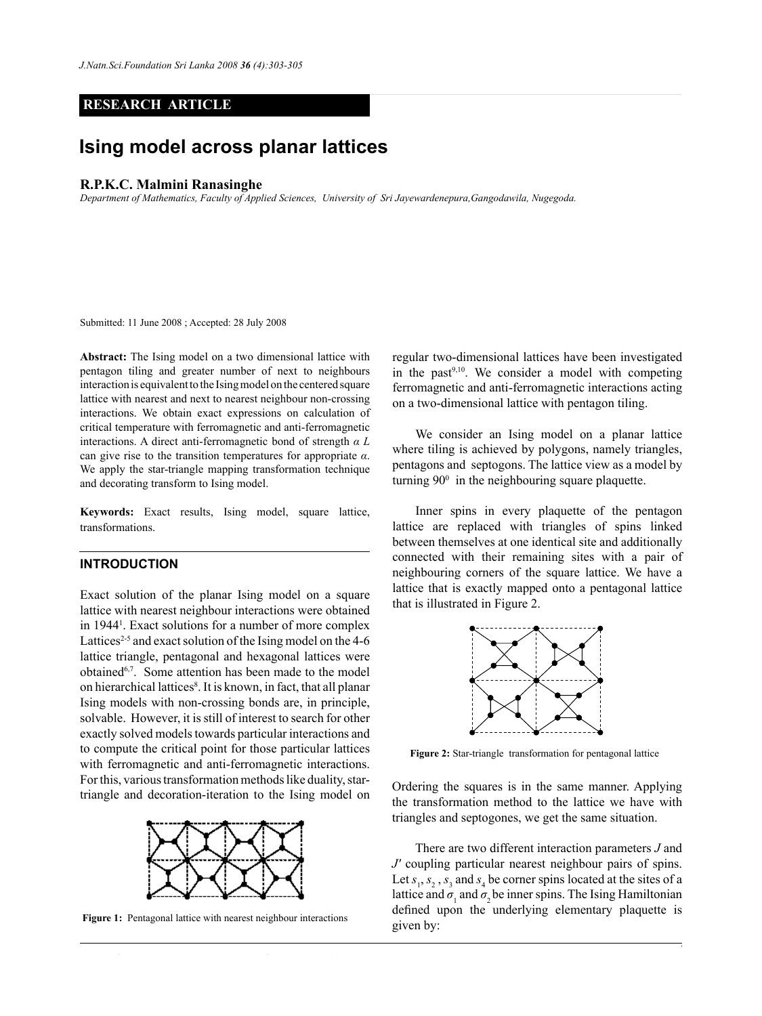## **RESEARCH ARTICLE**

# **Ising model across planar lattices**

#### **R.P.K.C. Malmini Ranasinghe**

*Department of Mathematics, Faculty of Applied Sciences, University of Sri Jayewardenepura,Gangodawila, Nugegoda.*

Submitted: 11 June 2008 ; Accepted: 28 July 2008

**Abstract:** The Ising model on a two dimensional lattice with pentagon tiling and greater number of next to neighbours interaction is equivalent to the Ising model on the centered square lattice with nearest and next to nearest neighbour non-crossing interactions. We obtain exact expressions on calculation of critical temperature with ferromagnetic and anti-ferromagnetic interactions. A direct anti-ferromagnetic bond of strength *α L* can give rise to the transition temperatures for appropriate *α*. We apply the star-triangle mapping transformation technique and decorating transform to Ising model.

**Keywords:** Exact results, Ising model, square lattice, transformations.

### **Introduction**

Exact solution of the planar Ising model on a square lattice with nearest neighbour interactions were obtained in 19441 . Exact solutions for a number of more complex Lattices<sup>2-5</sup> and exact solution of the Ising model on the 4-6 lattice triangle, pentagonal and hexagonal lattices were obtained6,7. Some attention has been made to the model on hierarchical lattices<sup>8</sup>. It is known, in fact, that all planar Ising models with non-crossing bonds are, in principle, solvable. However, it is still of interest to search for other exactly solved models towards particular interactions and to compute the critical point for those particular lattices with ferromagnetic and anti-ferromagnetic interactions. For this, various transformation methods like duality, startriangle and decoration-iteration to the Ising model on



**Figure 1:** Pentagonal lattice with nearest neighbour interactions

regular two-dimensional lattices have been investigated in the past $9,10$ . We consider a model with competing ferromagnetic and anti-ferromagnetic interactions acting on a two-dimensional lattice with pentagon tiling.

We consider an Ising model on a planar lattice where tiling is achieved by polygons, namely triangles, pentagons and septogons. The lattice view as a model by turning  $90^\circ$  in the neighbouring square plaquette.

Inner spins in every plaquette of the pentagon lattice are replaced with triangles of spins linked between themselves at one identical site and additionally connected with their remaining sites with a pair of neighbouring corners of the square lattice. We have a lattice that is exactly mapped onto a pentagonal lattice that is illustrated in Figure 2.



**Figure 2:** Star-triangle transformation for pentagonal lattice

Ordering the squares is in the same manner. Applying the transformation method to the lattice we have with triangles and septogones, we get the same situation.

There are two different interaction parameters *J* and *J'* coupling particular nearest neighbour pairs of spins. Let  $s_1, s_2, s_3$  and  $s_4$  be corner spins located at the sites of a lattice and  $\sigma_1$  and  $\sigma_2$  be inner spins. The Ising Hamiltonian defined upon the underlying elementary plaquette is given by:

*Journal of the National Science Foundation of Sri Lanka 36 (4) December 2008*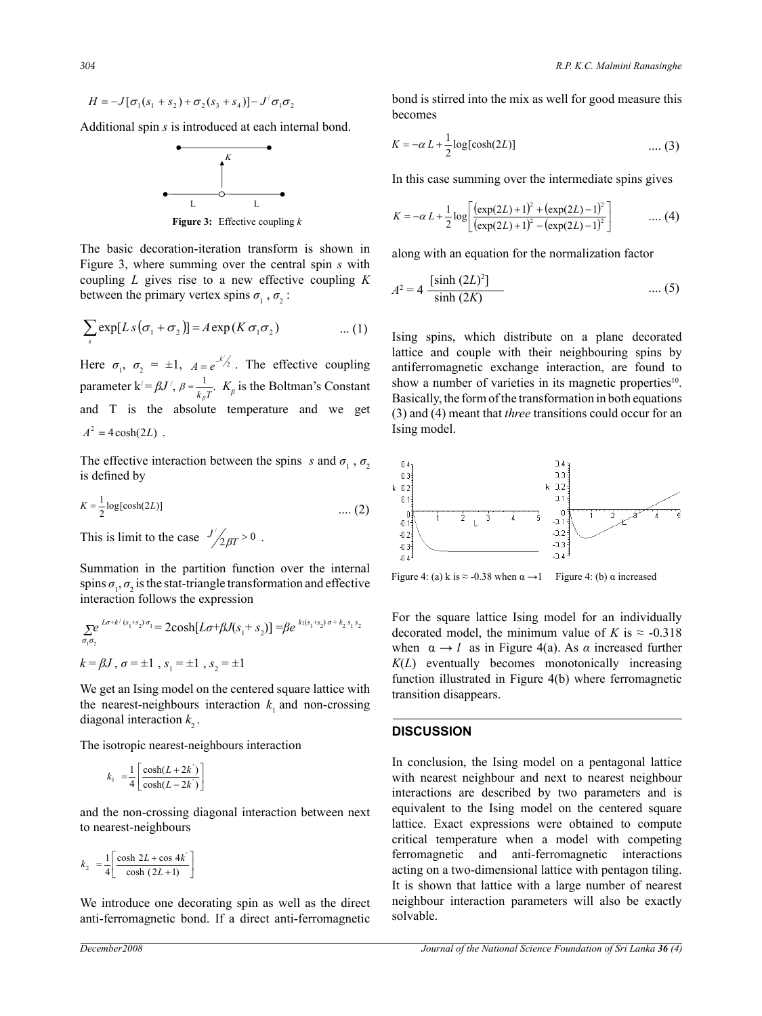$$
H = -J[\sigma_1(s_1 + s_2) + \sigma_2(s_3 + s_4)] - J'\sigma_1\sigma_2
$$

Additional spin *s* is introduced at each internal bond.



**Figure 3:** Effective coupling *k* 

The basic decoration-iteration transform is shown in Figure 3, where summing over the central spin *s* with coupling *L* gives rise to a new effective coupling *K*  between the primary vertex spins  $\sigma_1$ ,  $\sigma_2$ :

$$
\sum_{s} \exp[L s(\sigma_1 + \sigma_2)] = A \exp(K \sigma_1 \sigma_2) \qquad \dots (1) \qquad \text{Ising spin}
$$

Here  $\sigma_1$ ,  $\sigma_2 = \pm 1$ ,  $A = e^{-k/2}$ . The effective coupling parameter  $k' = \beta J'$ ,  $\beta = \frac{1}{k_{\beta}T}$ .  $K_{\beta}$  is the Boltman's Constant and T is the absolute temperature and we get  $A^2 = 4 \cosh(2L)$ .

The effective interaction between the spins *s* and  $\sigma_1$ ,  $\sigma_2$ is defined by

$$
K = \frac{1}{2} \log[\cosh(2L)] \quad \dots (2)
$$

This is limit to the case  $\frac{J}{2\beta T} > 0$ .

Summation in the partition function over the internal spins  $\sigma_1$ ,  $\sigma_2$  is the stat-triangle transformation and effective interaction follows the expression

$$
\sum_{\sigma_1 \sigma_2} e^{L\sigma + k/(s_1 + s_2)\sigma_1} = 2\cosh[L\sigma + \beta J(s_1 + s_2)] = \beta e^{k_1(s_1 + s_2)\sigma + k_2 s_1 s_2}
$$
  

$$
k = \beta J, \sigma = \pm 1, s_1 = \pm 1, s_2 = \pm 1
$$

We get an Ising model on the centered square lattice with the nearest-neighbours interaction  $k<sub>1</sub>$  and non-crossing diagonal interaction  $k<sub>2</sub>$ .

The isotropic nearest-neighbours interaction

$$
k_1 = \frac{1}{4} \left[ \frac{\cosh(L + 2k^{'})}{\cosh(L - 2k^{'})} \right]
$$

and the non-crossing diagonal interaction between next to nearest-neighbours

$$
k_2 = \frac{1}{4} \left[ \frac{\cosh 2L + \cos 4k}{\cosh (2L + 1)} \right]
$$

We introduce one decorating spin as well as the direct anti-ferromagnetic bond. If a direct anti-ferromagnetic

bond is stirred into the mix as well for good measure this becomes

$$
K = -\alpha L + \frac{1}{2} \log[\cosh(2L)] \qquad \qquad \dots (3)
$$

In this case summing over the intermediate spins gives

$$
K = -\alpha L + \frac{1}{2} \log \left[ \frac{(\exp(2L) + 1)^2 + (\exp(2L) - 1)^2}{(\exp(2L) + 1)^2 - (\exp(2L) - 1)^2} \right] \qquad \qquad \dots (4)
$$

along with an equation for the normalization factor

$$
A^{2} = 4 \frac{\left[\sinh{(2L)^{2}}\right]}{\sinh{(2K)}} \qquad \qquad \dots (5)
$$

Ising spins, which distribute on a plane decorated lattice and couple with their neighbouring spins by antiferromagnetic exchange interaction, are found to show a number of varieties in its magnetic properties<sup>10</sup>. Basically, the form of the transformation in both equations (3) and (4) meant that *three* transitions could occur for an Ising model.



Figure 4: (a) k is  $\approx$  -0.38 when  $\alpha \rightarrow 1$  Figure 4: (b)  $\alpha$  increased

For the square lattice Ising model for an individually decorated model, the minimum value of *K* is  $\approx$  -0.318 when  $\alpha \rightarrow l$  as in Figure 4(a). As  $\alpha$  increased further *K*(*L*) eventually becomes monotonically increasing function illustrated in Figure 4(b) where ferromagnetic transition disappears.

#### **Discussion**

In conclusion, the Ising model on a pentagonal lattice with nearest neighbour and next to nearest neighbour interactions are described by two parameters and is equivalent to the Ising model on the centered square lattice. Exact expressions were obtained to compute critical temperature when a model with competing ferromagnetic and anti-ferromagnetic interactions acting on a two-dimensional lattice with pentagon tiling. It is shown that lattice with a large number of nearest neighbour interaction parameters will also be exactly solvable.